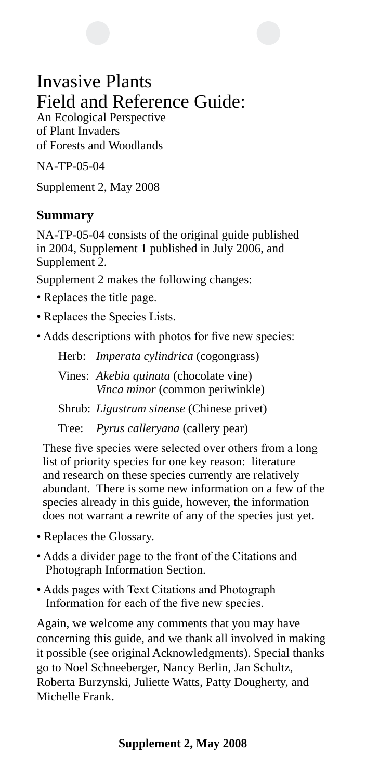## Invasive Plants Field and Reference Guide:

An Ecological Perspective of Plant Invaders of Forests and Woodlands

NA-TP-05-04

Supplement 2, May 2008

#### **Summary**

NA-TP-05-04 consists of the original guide published in 2004, Supplement 1 published in July 2006, and Supplement 2.

Supplement 2 makes the following changes:

- Replaces the title page.
- Replaces the Species Lists.
- Adds descriptions with photos for five new species:

Herb: *Imperata cylindrica* (cogongrass)

Vines: *Akebia quinata* (chocolate vine) *Vinca minor* (common periwinkle)

Shrub: *Ligustrum sinense* (Chinese privet)

Tree: *Pyrus calleryana* (callery pear)

These five species were selected over others from a long list of priority species for one key reason: literature and research on these species currently are relatively abundant. There is some new information on a few of the species already in this guide, however, the information does not warrant a rewrite of any of the species just yet.

- Replaces the Glossary.
- Adds a divider page to the front of the Citations and Photograph Information Section.
- Adds pages with Text Citations and Photograph Information for each of the five new species.

Again, we welcome any comments that you may have concerning this guide, and we thank all involved in making it possible (see original Acknowledgments). Special thanks go to Noel Schneeberger, Nancy Berlin, Jan Schultz, Roberta Burzynski, Juliette Watts, Patty Dougherty, and Michelle Frank.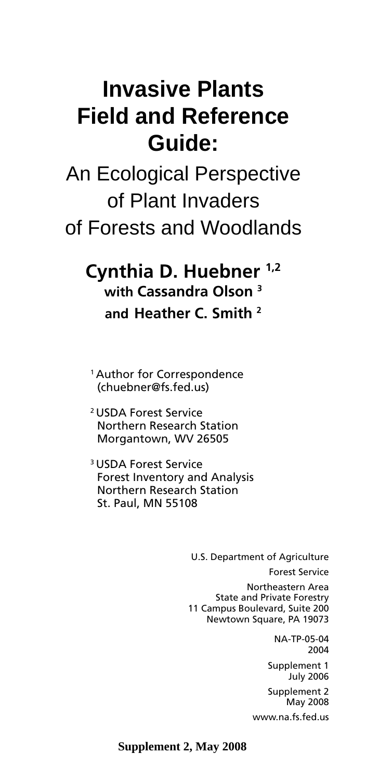## **Invasive Plants Field and Reference Guide:**

An Ecological Perspective of Plant Invaders of Forests and Woodlands

## **Cynthia D. Huebner 1,2 with Cassandra Olson 3 and Heather C. Smith 2**

1 Author for Correspondence (chuebner@fs.fed.us)

2 USDA Forest Service Northern Research Station Morgantown, WV 26505

3 USDA Forest Service Forest Inventory and Analysis Northern Research Station St. Paul, MN 55108

> U.S. Department of Agriculture Forest Service Northeastern Area State and Private Forestry 11 Campus Boulevard, Suite 200 Newtown Square, PA 19073

> > NA-TP-05-04 2004

Supplement 1 July 2006

Supplement 2 May 2008 www.na.fs.fed.us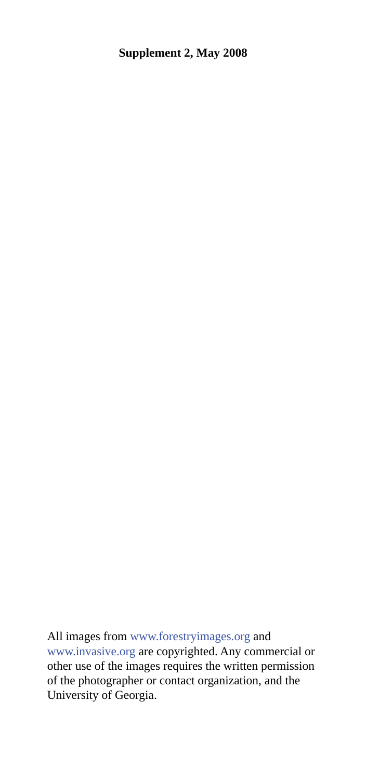All images from www.forestryimages.org and www.invasive.org are copyrighted. Any commercial or other use of the images requires the written permission of the photographer or contact organization, and the University of Georgia.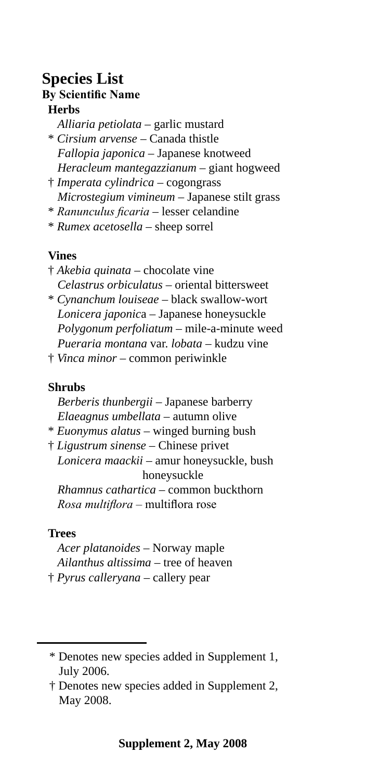#### **Species List By Scientific Name Herbs**

- *Alliaria petiolata* garlic mustard \* *Cirsium arvense* – Canada thistle *Fallopia japonica* – Japanese knotweed *Heracleum mantegazzianum* – giant hogweed
- † *Imperata cylindrica*  cogongrass *Microstegium vimineum* – Japanese stilt grass
- \* *Ranunculus ficaria*  lesser celandine
- \* *Rumex acetosella* sheep sorrel

#### **Vines**

- † *Akebia quinata* chocolate vine *Celastrus orbiculatus* – oriental bittersweet
- \* *Cynanchum louiseae* black swallow-wort *Lonicera japonic*a – Japanese honeysuckle *Polygonum perfoliatum* – mile-a-minute weed *Pueraria montana* var. *lobata* – kudzu vine
- † *Vinca minor* common periwinkle

#### **Shrubs**

*Berberis thunbergii* – Japanese barberry *Elaeagnus umbellata* – autumn olive

- \* *Euonymus alatus* winged burning bush
- † *Ligustrum sinense* Chinese privet *Lonicera maackii* – amur honeysuckle, bush honeysuckle *Rhamnus cathartica* – common buckthorn *Rosa multiflora* – multiflora rose

#### **Trees**

*Acer platanoides* – Norway maple *Ailanthus altissima* – tree of heaven † *Pyrus calleryana* – callery pear

<sup>\*</sup> Denotes new species added in Supplement 1, July 2006.

<sup>†</sup> Denotes new species added in Supplement 2, May 2008.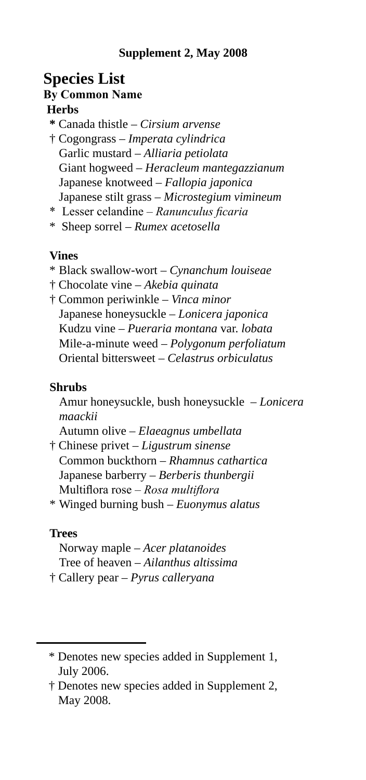#### **Species List By Common Name Herbs**

- **\*** Canada thistle *Cirsium arvense*
- † Cogongrass *Imperata cylindrica* Garlic mustard – *Alliaria petiolata* Giant hogweed – *Heracleum mantegazzianum* Japanese knotweed – *Fallopia japonica* Japanese stilt grass – *Microstegium vimineum*
- \* Lesser celandine *Ranunculus ficaria*
- \* Sheep sorrel *Rumex acetosella*

#### **Vines**

- \* Black swallow-wort *Cynanchum louiseae*
- † Chocolate vine *Akebia quinata*
- † Common periwinkle *Vinca minor* Japanese honeysuckle – *Lonicera japonica* Kudzu vine – *Pueraria montana* var. *lobata* Mile-a-minute weed – *Polygonum perfoliatum* Oriental bittersweet – *Celastrus orbiculatus*

#### **Shrubs**

Amur honeysuckle, bush honeysuckle – *Lonicera maackii* 

Autumn olive – *Elaeagnus umbellata* 

† Chinese privet – *Ligustrum sinense* Common buckthorn – *Rhamnus cathartica* Japanese barberry – *Berberis thunbergii* Multiflora rose – *Rosa multiflora* 

\* Winged burning bush – *Euonymus alatus* 

#### **Trees**

Norway maple – *Acer platanoides* Tree of heaven – *Ailanthus altissima* † Callery pear – *Pyrus calleryana* 

<sup>\*</sup> Denotes new species added in Supplement 1, July 2006.

<sup>†</sup> Denotes new species added in Supplement 2, May 2008.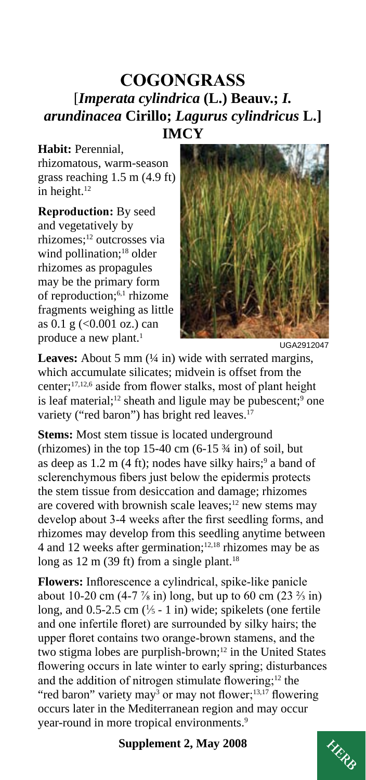#### **COGONGRASS**  [*Imperata cylindrica* **(L.) Beauv.;** *I. arundinacea* **Cirillo;** *Lagurus cylindricus* **L.] IMCY**

#### **Habit:** Perennial,

rhizomatous, warm-season grass reaching 1.5 m (4.9 ft) in height.<sup>12</sup>

**Reproduction:** By seed and vegetatively by rhizomes;12 outcrosses via wind pollination;<sup>18</sup> older rhizomes as propagules may be the primary form of reproduction;6,1 rhizome fragments weighing as little as  $0.1 \text{ g}$  (<0.001 oz.) can produce a new plant.<sup>1</sup>



UGA2912047

**Leaves:** About 5 mm ( $\frac{1}{4}$  in) wide with serrated margins, which accumulate silicates; midvein is offset from the center;17,12,6 aside from flower stalks, most of plant height is leaf material;<sup>12</sup> sheath and ligule may be pubescent;<sup>9</sup> one variety ("red baron") has bright red leaves.<sup>17</sup>

**Stems:** Most stem tissue is located underground (rhizomes) in the top 15-40 cm  $(6-15\frac{3}{4}$  in) of soil, but as deep as  $1.2 \text{ m}$  (4 ft); nodes have silky hairs;<sup>9</sup> a band of sclerenchymous fibers just below the epidermis protects the stem tissue from desiccation and damage; rhizomes are covered with brownish scale leaves; $12$  new stems may develop about 3-4 weeks after the first seedling forms, and rhizomes may develop from this seedling anytime between 4 and 12 weeks after germination; $12,18$  rhizomes may be as long as  $12 \text{ m}$  (39 ft) from a single plant.<sup>18</sup>

year-round in more tropical environments.<sup>9</sup> **Flowers:** Inflorescence a cylindrical, spike-like panicle about 10-20 cm (4-7  $\frac{7}{8}$  in) long, but up to 60 cm (23  $\frac{2}{3}$  in) long, and  $0.5$ -2.5 cm ( $\frac{1}{5}$  - 1 in) wide; spikelets (one fertile and one infertile floret) are surrounded by silky hairs; the upper floret contains two orange-brown stamens, and the two stigma lobes are purplish-brown;<sup>12</sup> in the United States flowering occurs in late winter to early spring; disturbances and the addition of nitrogen stimulate flowering; $12$  the "red baron" variety may<sup>3</sup> or may not flower;<sup>13,17</sup> flowering occurs later in the Mediterranean region and may occur

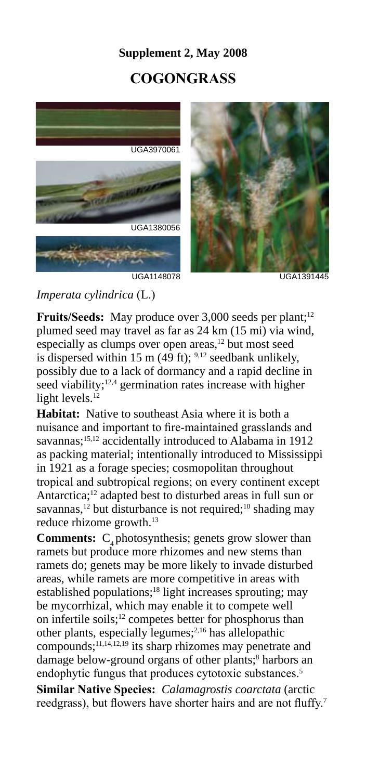#### **Supplement 2, May 2008**

#### **COGONGRASS**



#### *Imperata cylindrica* (L.)

Fruits/Seeds: May produce over 3,000 seeds per plant;<sup>12</sup> plumed seed may travel as far as 24 km (15 mi) via wind, especially as clumps over open areas, $12$  but most seed is dispersed within 15 m (49 ft);  $9,12$  seedbank unlikely, possibly due to a lack of dormancy and a rapid decline in seed viability; $12,4$  germination rates increase with higher light levels.<sup>12</sup>

**Habitat:** Native to southeast Asia where it is both a nuisance and important to fire-maintained grasslands and savannas;<sup>15,12</sup> accidentally introduced to Alabama in 1912 as packing material; intentionally introduced to Mississippi in 1921 as a forage species; cosmopolitan throughout tropical and subtropical regions; on every continent except Antarctica;12 adapted best to disturbed areas in full sun or savannas,<sup>12</sup> but disturbance is not required;<sup>10</sup> shading may reduce rhizome growth.<sup>13</sup>

**Comments:** C<sub>4</sub> photosynthesis; genets grow slower than ramets but produce more rhizomes and new stems than ramets do; genets may be more likely to invade disturbed areas, while ramets are more competitive in areas with established populations;<sup>18</sup> light increases sprouting; may be mycorrhizal, which may enable it to compete well on infertile soils;12 competes better for phosphorus than other plants, especially legumes;2,16 has allelopathic compounds;11,14,12,19 its sharp rhizomes may penetrate and damage below-ground organs of other plants;<sup>8</sup> harbors an endophytic fungus that produces cytotoxic substances.<sup>5</sup>

**Similar Native Species:** *Calamagrostis coarctata* (arctic reedgrass), but flowers have shorter hairs and are not fluffy.<sup>7</sup>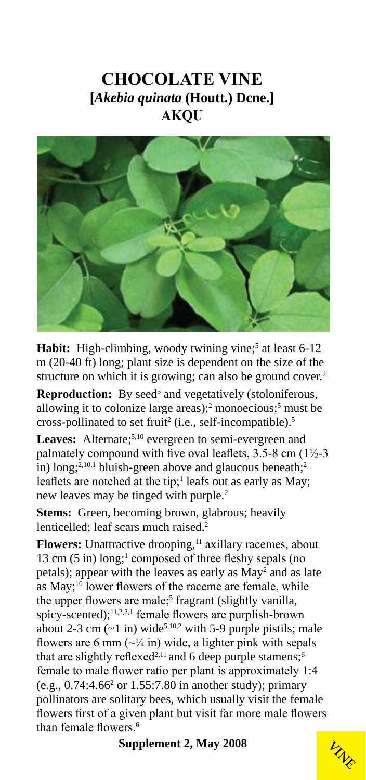#### **CHOCOLATE VINE [***Akebia quinata* **(Houtt.) Dcne.] AKQU**



Habit: High-climbing, woody twining vine;<sup>5</sup> at least 6-12 m (20-40 ft) long; plant size is dependent on the size of the structure on which it is growing; can also be ground cover.<sup>2</sup>

**Reproduction:** By seed<sup>5</sup> and vegetatively (stoloniferous, allowing it to colonize large areas);<sup>2</sup> monoecious;<sup>5</sup> must be cross-pollinated to set fruit<sup>2</sup> (i.e., self-incompatible).<sup>5</sup>

Leaves: Alternate;<sup>5,10</sup> evergreen to semi-evergreen and palmately compound with five oval leaflets,  $3.5-8$  cm  $(1\frac{1}{2}-3)$ in) long;<sup>2,10,1</sup> bluish-green above and glaucous beneath;<sup>2</sup> leaflets are notched at the tip;<sup>1</sup> leafs out as early as May; new leaves may be tinged with purple.<sup>2</sup>

**Stems:** Green, becoming brown, glabrous; heavily lenticelled: leaf scars much raised.<sup>2</sup>

**Flowers:** Unattractive drooping,<sup>11</sup> axillary racemes, about 13 cm (5 in) long;<sup>1</sup> composed of three fleshy sepals (no petals); appear with the leaves as early as May<sup>2</sup> and as late as May;<sup>10</sup> lower flowers of the raceme are female, while the upper flowers are male;<sup>5</sup> fragrant (slightly vanilla, spicy-scented);<sup>11,2,3,1</sup> female flowers are purplish-brown about 2-3 cm  $(-1 \text{ in})$  wide<sup>5,10,2</sup> with 5-9 purple pistils; male flowers are 6 mm  $(\sim$  /4 in) wide, a lighter pink with sepals that are slightly reflexed<sup>2,11</sup> and 6 deep purple stamens;<sup>6</sup> female to male flower ratio per plant is approximately 1:4  $(e.g., 0.74:4.66<sup>2</sup>$  or  $1.55:7.80$  in another study); primary pollinators are solitary bees, which usually visit the female flowers first of a given plant but visit far more male flowers than female flowers<sup>6</sup>

**VINE**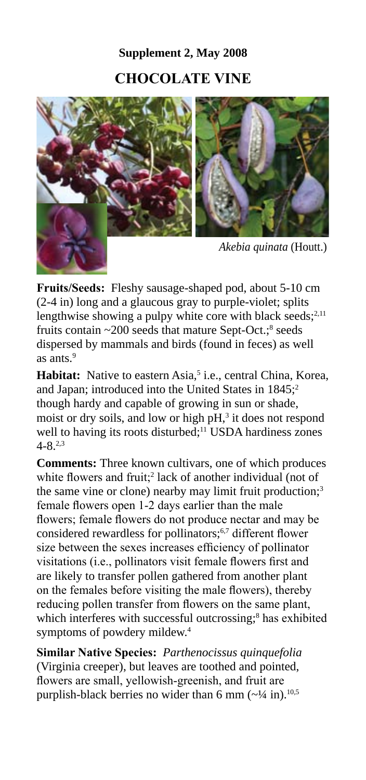## **Supplement 2, May 2008 CHOCOLATE VINE**



as ants. $9$ **Fruits/Seeds:** Fleshy sausage-shaped pod, about 5-10 cm (2-4 in) long and a glaucous gray to purple-violet; splits lengthwise showing a pulpy white core with black seeds; $2,11$ fruits contain  $\sim$  200 seeds that mature Sept-Oct.; $\text{^8}$  seeds dispersed by mammals and birds (found in feces) as well

Habitat: Native to eastern Asia,<sup>5</sup> i.e., central China, Korea, and Japan; introduced into the United States in 1845;<sup>2</sup> though hardy and capable of growing in sun or shade, moist or dry soils, and low or high  $pH<sub>1</sub><sup>3</sup>$  it does not respond well to having its roots disturbed;<sup>11</sup> USDA hardiness zones  $4 - 8^{2,3}$ 

**Comments:** Three known cultivars, one of which produces white flowers and fruit;<sup>2</sup> lack of another individual (not of the same vine or clone) nearby may limit fruit production;<sup>3</sup> female flowers open 1-2 days earlier than the male flowers; female flowers do not produce nectar and may be considered rewardless for pollinators;<sup>6,7</sup> different flower size between the sexes increases efficiency of pollinator visitations (i.e., pollinators visit female flowers first and are likely to transfer pollen gathered from another plant on the females before visiting the male flowers), thereby reducing pollen transfer from flowers on the same plant, which interferes with successful outcrossing;<sup>8</sup> has exhibited symptoms of powdery mildew.4

**Similar Native Species:** *Parthenocissus quinquefolia*  (Virginia creeper), but leaves are toothed and pointed, flowers are small, yellowish-greenish, and fruit are purplish-black berries no wider than 6 mm  $(\sim$ <sup>1</sup>/4 in).<sup>10,5</sup>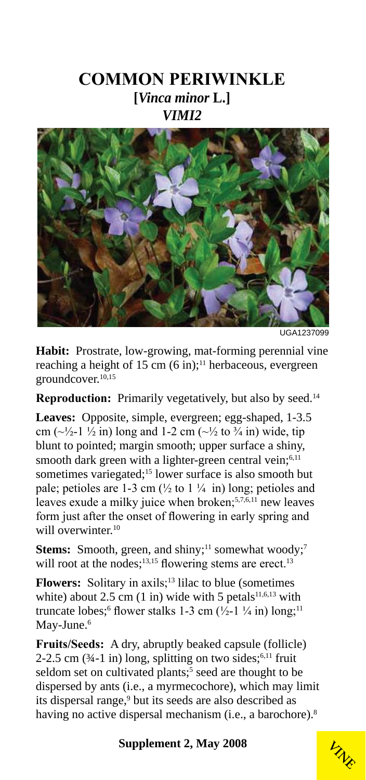#### **COMMON PERIWINKLE [***Vinca minor* **L.]** *VIMI2*



UGA1237099

**Habit:** Prostrate, low-growing, mat-forming perennial vine reaching a height of 15 cm  $(6 \text{ in})$ ;<sup>11</sup> herbaceous, evergreen groundcover.10,15

**Reproduction:** Primarily vegetatively, but also by seed.<sup>14</sup>

**Leaves:** Opposite, simple, evergreen; egg-shaped, 1-3.5 cm ( $\sim$ ½-1 ½ in) long and 1-2 cm ( $\sim$ ½ to ¾ in) wide, tip blunt to pointed; margin smooth; upper surface a shiny, smooth dark green with a lighter-green central vein;<sup>6,11</sup> sometimes variegated;<sup>15</sup> lower surface is also smooth but pale; petioles are 1-3 cm  $(\frac{1}{2}$  to 1  $\frac{1}{4}$  in) long; petioles and leaves exude a milky juice when broken;<sup>5,7,6,11</sup> new leaves form just after the onset of flowering in early spring and will overwinter.<sup>10</sup>

**Stems:** Smooth, green, and shiny;<sup>11</sup> somewhat woody;<sup>7</sup> will root at the nodes;<sup>13,15</sup> flowering stems are erect.<sup>13</sup>

**Flowers:** Solitary in axils;<sup>13</sup> lilac to blue (sometimes) white) about 2.5 cm  $(1 \text{ in})$  wide with 5 petals<sup>11,6,13</sup> with truncate lobes;<sup>6</sup> flower stalks 1-3 cm  $(\frac{1}{2} - 1 \frac{1}{4} \text{ in}) \log$ ;<sup>11</sup> May-June.<sup>6</sup>

**Fruits/Seeds:** A dry, abruptly beaked capsule (follicle) 2-2.5 cm  $(34-1 \text{ in})$  long, splitting on two sides;<sup>6,11</sup> fruit seldom set on cultivated plants;<sup>5</sup> seed are thought to be dispersed by ants (i.e., a myrmecochore), which may limit its dispersal range,<sup>9</sup> but its seeds are also described as having no active dispersal mechanism (i.e., a barochore).<sup>8</sup>

**VINE**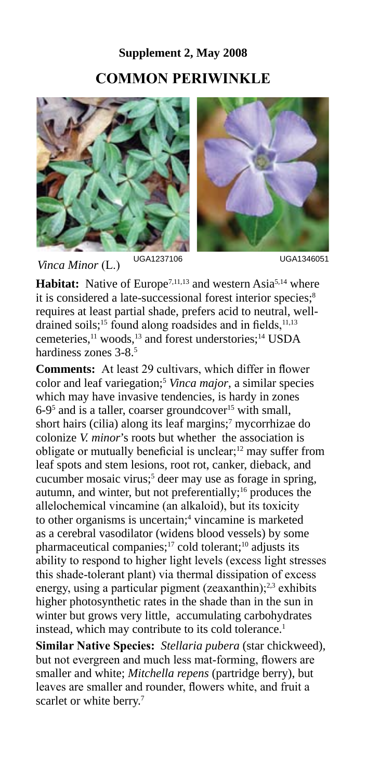## **Supplement 2, May 2008 COMMON PERIWINKLE**



UGA1237106 UGA1346051 *Vinca Minor* (L.)

Habitat: Native of Europe<sup>7,11,13</sup> and western Asia<sup>5,14</sup> where it is considered a late-successional forest interior species;<sup>8</sup> requires at least partial shade, prefers acid to neutral, welldrained soils;<sup>15</sup> found along roadsides and in fields,<sup>11,13</sup> cemeteries,<sup>11</sup> woods,<sup>13</sup> and forest understories;<sup>14</sup> USDA hardiness zones 3-8.5

**Comments:** At least 29 cultivars, which differ in flower color and leaf variegation;5 *Vinca major*, a similar species which may have invasive tendencies, is hardy in zones 6-9<sup>5</sup> and is a taller, coarser groundcover<sup>15</sup> with small, short hairs (cilia) along its leaf margins;<sup>7</sup> mycorrhizae do colonize *V. minor*'s roots but whether the association is obligate or mutually beneficial is unclear; $12$  may suffer from leaf spots and stem lesions, root rot, canker, dieback, and cucumber mosaic virus;<sup>5</sup> deer may use as forage in spring, autumn, and winter, but not preferentially;<sup>16</sup> produces the allelochemical vincamine (an alkaloid), but its toxicity to other organisms is uncertain;<sup>4</sup> vincamine is marketed as a cerebral vasodilator (widens blood vessels) by some pharmaceutical companies;<sup>17</sup> cold tolerant;<sup>10</sup> adjusts its ability to respond to higher light levels (excess light stresses this shade-tolerant plant) via thermal dissipation of excess energy, using a particular pigment (zeaxanthin);<sup>2,3</sup> exhibits higher photosynthetic rates in the shade than in the sun in winter but grows very little, accumulating carbohydrates instead, which may contribute to its cold tolerance.<sup>1</sup>

**Similar Native Species:** *Stellaria pubera* (star chickweed), but not evergreen and much less mat-forming, flowers are smaller and white; *Mitchella repens* (partridge berry), but leaves are smaller and rounder, flowers white, and fruit a scarlet or white berry.<sup>7</sup>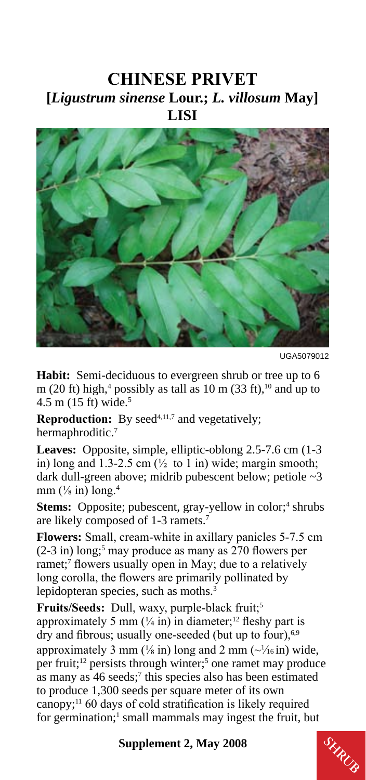#### **CHINESE PRIVET [***Ligustrum sinense* **Lour.;** *L. villosum* **May] LISI**



UGA5079012

Habit: Semi-deciduous to evergreen shrub or tree up to 6 m (20 ft) high,<sup>4</sup> possibly as tall as 10 m (33 ft),<sup>10</sup> and up to  $4.5 \text{ m}$  (15 ft) wide.<sup>5</sup>

**Reproduction:** By seed<sup>4,11,7</sup> and vegetatively; hermaphroditic.<sup>7</sup>

**Leaves:** Opposite, simple, elliptic-oblong 2.5-7.6 cm (1-3 in) long and 1.3-2.5 cm  $(\frac{1}{2}$  to 1 in) wide; margin smooth; dark dull-green above; midrib pubescent below; petiole ~3 mm  $(\frac{1}{8}$  in) long.<sup>4</sup>

**Stems:** Opposite; pubescent, gray-yellow in color;<sup>4</sup> shrubs are likely composed of 1-3 ramets.7

**Flowers:** Small, cream-white in axillary panicles 5-7.5 cm  $(2-3$  in) long;<sup>5</sup> may produce as many as 270 flowers per ramet;<sup>7</sup> flowers usually open in May; due to a relatively long corolla, the flowers are primarily pollinated by lepidopteran species, such as moths.<sup>3</sup>

Fruits/Seeds: Dull, waxy, purple-black fruit;<sup>5</sup> approximately 5 mm  $(½ in)$  in diameter;<sup>12</sup> fleshy part is dry and fibrous; usually one-seeded (but up to four),<sup>6,9</sup> approximately 3 mm ( $\frac{1}{8}$  in) long and 2 mm ( $\frac{1}{16}$  in) wide, per fruit;<sup>12</sup> persists through winter;<sup>5</sup> one ramet may produce as many as 46 seeds;<sup>7</sup> this species also has been estimated to produce 1,300 seeds per square meter of its own canopy;<sup>11</sup> 60 days of cold stratification is likely required for germination;<sup>1</sup> small mammals may ingest the fruit, but

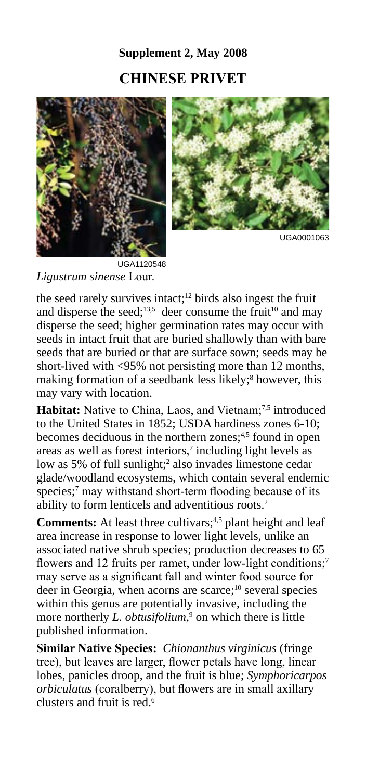## **Supplement 2, May 2008 CHINESE PRIVET**





UGA0001063

*Ligustrum sinense* Lour.

the seed rarely survives intact;<sup>12</sup> birds also ingest the fruit and disperse the seed;<sup>13,5</sup> deer consume the fruit<sup>10</sup> and may disperse the seed; higher germination rates may occur with seeds in intact fruit that are buried shallowly than with bare seeds that are buried or that are surface sown; seeds may be short-lived with <95% not persisting more than 12 months, making formation of a seedbank less likely;<sup>8</sup> however, this may vary with location.

Habitat: Native to China, Laos, and Vietnam;<sup>7,5</sup> introduced to the United States in 1852; USDA hardiness zones 6-10; becomes deciduous in the northern zones;<sup>4,5</sup> found in open areas as well as forest interiors,<sup>7</sup> including light levels as low as 5% of full sunlight;<sup>2</sup> also invades limestone cedar glade/woodland ecosystems, which contain several endemic species;<sup>7</sup> may withstand short-term flooding because of its ability to form lenticels and adventitious roots.2

**Comments:** At least three cultivars;<sup>4,5</sup> plant height and leaf area increase in response to lower light levels, unlike an associated native shrub species; production decreases to 65 flowers and 12 fruits per ramet, under low-light conditions;<sup>7</sup> may serve as a significant fall and winter food source for deer in Georgia, when acorns are scarce;10 several species within this genus are potentially invasive, including the more northerly *L. obtusifolium*,<sup>9</sup> on which there is little published information.

**Similar Native Species:** *Chionanthus virginicus* (fringe tree), but leaves are larger, flower petals have long, linear lobes, panicles droop, and the fruit is blue; *Symphoricarpos orbiculatus* (coralberry), but flowers are in small axillary clusters and fruit is red.6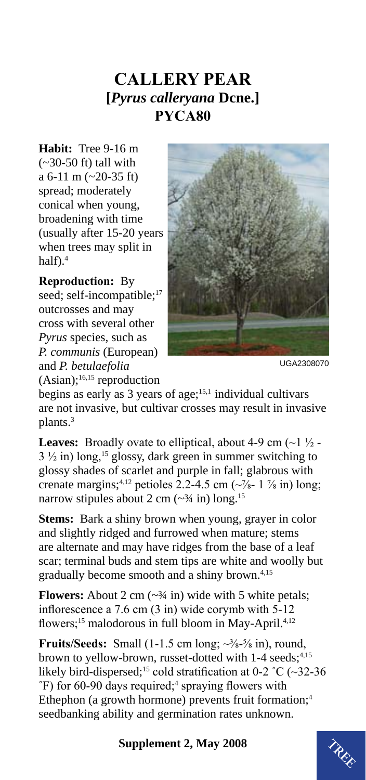### **CALLERY PEAR [***Pyrus calleryana* **Dcne.] PYCA80**

**Habit:** Tree 9-16 m  $(-30-50$  ft) tall with a 6-11 m (~20-35 ft) spread; moderately conical when young, broadening with time (usually after 15-20 years when trees may split in half $)$ .<sup>4</sup>

**Reproduction:** By seed; self-incompatible;<sup>17</sup> outcrosses and may cross with several other *Pyrus* species, such as *P. communis* (European) and *P. betulaefolia*   $(Asian);$ <sup>16,15</sup> reproduction



UGA2308070

begins as early as 3 years of age;15,1 individual cultivars are not invasive, but cultivar crosses may result in invasive plants.<sup>3</sup>

**Leaves:** Broadly ovate to elliptical, about 4-9 cm  $\left(\sim\right)$   $\frac{1}{2}$ .  $3\frac{1}{2}$  in) long,<sup>15</sup> glossy, dark green in summer switching to glossy shades of scarlet and purple in fall; glabrous with crenate margins;<sup>4,12</sup> petioles 2.2-4.5 cm ( $\sqrt{8}$ - 1  $\frac{7}{8}$  in) long; narrow stipules about 2 cm  $(\sim \frac{3}{4}$  in) long.<sup>15</sup>

**Stems:** Bark a shiny brown when young, grayer in color and slightly ridged and furrowed when mature; stems are alternate and may have ridges from the base of a leaf scar; terminal buds and stem tips are white and woolly but gradually become smooth and a shiny brown.4,15

**Flowers:** About 2 cm  $(\sim 34 \text{ in})$  wide with 5 white petals; inflorescence a 7.6 cm (3 in) wide corymb with 5-12 flowers;<sup>15</sup> malodorous in full bloom in May-April.<sup>4,12</sup>

**Fruits/Seeds:** Small  $(1-1.5 \text{ cm long}; \sim\frac{3}{8} \cdot \frac{5}{8} \text{ in})$ , round, brown to yellow-brown, russet-dotted with 1-4 seeds;<sup>4,15</sup> likely bird-dispersed;<sup>15</sup> cold stratification at 0-2 °C ( $\sim$ 32-36 <sup>°</sup>F) for 60-90 days required;<sup>4</sup> spraying flowers with Ethephon (a growth hormone) prevents fruit formation;<sup>4</sup> seedbanking ability and germination rates unknown.

# **Supplement 2, May 2008**  $\mathcal{L}_{\mathcal{R}_{\mathcal{L}}}$

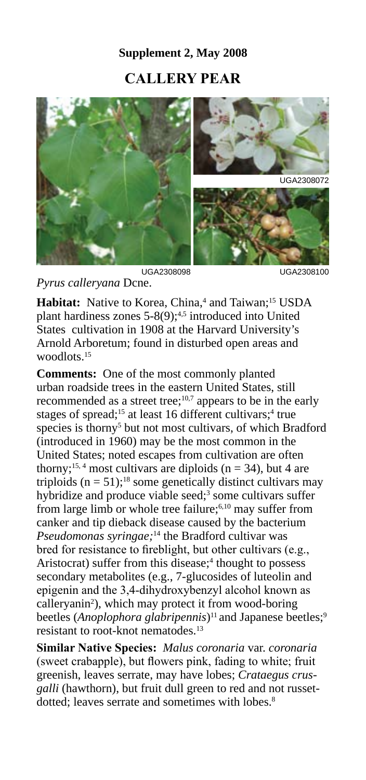#### **Supplement 2, May 2008**

#### **CALLERY PEAR**



*Pyrus calleryana* Dcne.

**Habitat:** Native to Korea, China,<sup>4</sup> and Taiwan;<sup>15</sup> USDA plant hardiness zones  $5-8(9)$ ;<sup>4,5</sup> introduced into United States cultivation in 1908 at the Harvard University's Arnold Arboretum; found in disturbed open areas and woodlots<sup>15</sup>

**Comments:** One of the most commonly planted urban roadside trees in the eastern United States, still recommended as a street tree;<sup>10,7</sup> appears to be in the early stages of spread;<sup>15</sup> at least 16 different cultivars;<sup>4</sup> true species is thorny<sup>5</sup> but not most cultivars, of which Bradford (introduced in 1960) may be the most common in the United States; noted escapes from cultivation are often thorny;<sup>15, 4</sup> most cultivars are diploids ( $n = 34$ ), but 4 are triploids  $(n = 51)$ ;<sup>18</sup> some genetically distinct cultivars may hybridize and produce viable seed;<sup>3</sup> some cultivars suffer from large limb or whole tree failure;<sup>6,10</sup> may suffer from canker and tip dieback disease caused by the bacterium *Pseudomonas syringae;*14 the Bradford cultivar was bred for resistance to fireblight, but other cultivars (e.g., Aristocrat) suffer from this disease;<sup>4</sup> thought to possess secondary metabolites (e.g., 7-glucosides of luteolin and epigenin and the 3,4-dihydroxybenzyl alcohol known as calleryanin<sup>2</sup>), which may protect it from wood-boring beetles (*Anoplophora glabripennis*)<sup>11</sup> and Japanese beetles;<sup>9</sup> resistant to root-knot nematodes.13

**Similar Native Species:** *Malus coronaria* var. *coronaria*  (sweet crabapple), but flowers pink, fading to white; fruit greenish, leaves serrate, may have lobes; *Crataegus crusgalli* (hawthorn), but fruit dull green to red and not russetdotted; leaves serrate and sometimes with lobes.<sup>8</sup>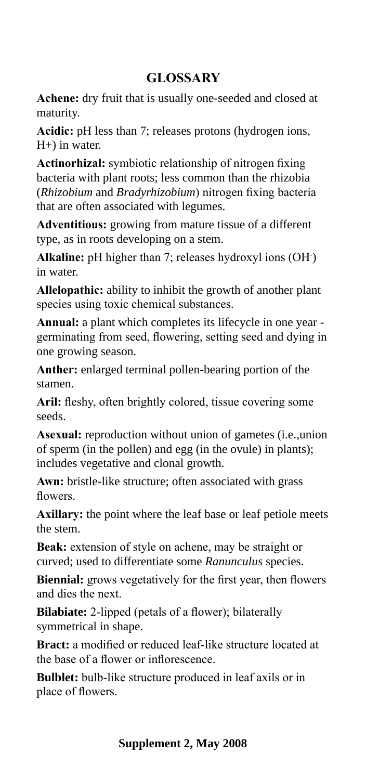#### **GLOSSARY**

**Achene:** dry fruit that is usually one-seeded and closed at maturity.

**Acidic:** pH less than 7; releases protons (hydrogen ions, H+) in water.

**Actinorhizal:** symbiotic relationship of nitrogen fixing bacteria with plant roots; less common than the rhizobia (*Rhizobium* and *Bradyrhizobium*) nitrogen fixing bacteria that are often associated with legumes.

**Adventitious:** growing from mature tissue of a different type, as in roots developing on a stem.

**Alkaline:** pH higher than 7; releases hydroxyl ions (OH- ) in water.

**Allelopathic:** ability to inhibit the growth of another plant species using toxic chemical substances.

**Annual:** a plant which completes its lifecycle in one year germinating from seed, flowering, setting seed and dying in one growing season.

**Anther:** enlarged terminal pollen-bearing portion of the stamen.

Aril: fleshy, often brightly colored, tissue covering some seeds.

**Asexual:** reproduction without union of gametes (i.e.,union of sperm (in the pollen) and egg (in the ovule) in plants); includes vegetative and clonal growth.

**Awn:** bristle-like structure; often associated with grass flowers.

**Axillary:** the point where the leaf base or leaf petiole meets the stem.

**Beak:** extension of style on achene, may be straight or curved; used to differentiate some *Ranunculus* species.

**Biennial:** grows vegetatively for the first year, then flowers and dies the next.

**Bilabiate:** 2-lipped (petals of a flower); bilaterally symmetrical in shape.

**Bract:** a modified or reduced leaf-like structure located at the base of a flower or inflorescence.

**Bulblet:** bulb-like structure produced in leaf axils or in place of flowers.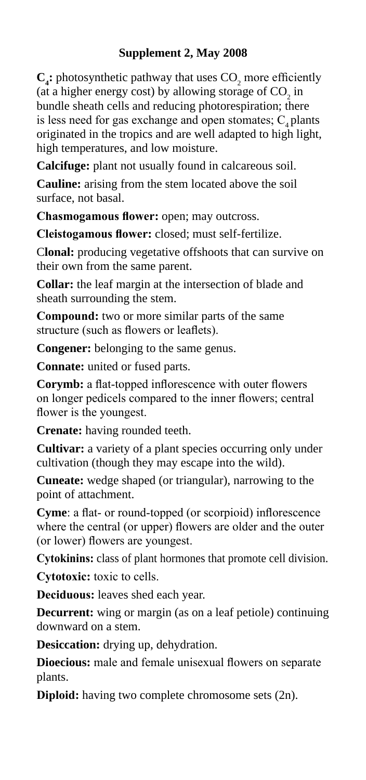$C_i$ : photosynthetic pathway that uses  $CO$ , more efficiently (at a higher energy cost) by allowing storage of  $CO_2$  in bundle sheath cells and reducing photorespiration; there is less need for gas exchange and open stomates;  $C_4$  plants originated in the tropics and are well adapted to high light, high temperatures, and low moisture.

**Calcifuge:** plant not usually found in calcareous soil.

**Cauline:** arising from the stem located above the soil surface, not basal.

**Chasmogamous flower:** open; may outcross.

**Cleistogamous flower:** closed; must self-fertilize.

C**lonal:** producing vegetative offshoots that can survive on their own from the same parent.

**Collar:** the leaf margin at the intersection of blade and sheath surrounding the stem.

**Compound:** two or more similar parts of the same structure (such as flowers or leaflets).

**Congener:** belonging to the same genus.

**Connate:** united or fused parts.

**Corymb:** a flat-topped inflorescence with outer flowers on longer pedicels compared to the inner flowers; central flower is the youngest.

**Crenate:** having rounded teeth.

**Cultivar:** a variety of a plant species occurring only under cultivation (though they may escape into the wild).

**Cuneate:** wedge shaped (or triangular), narrowing to the point of attachment.

**Cyme**: a flat- or round-topped (or scorpioid) inflorescence where the central (or upper) flowers are older and the outer (or lower) flowers are youngest.

**Cytokinins:** class of plant hormones that promote cell division.

**Cytotoxic:** toxic to cells.

**Deciduous:** leaves shed each year.

**Decurrent:** wing or margin (as on a leaf petiole) continuing downward on a stem.

**Desiccation:** drying up, dehydration.

**Dioecious:** male and female unisexual flowers on separate plants.

**Diploid:** having two complete chromosome sets (2n).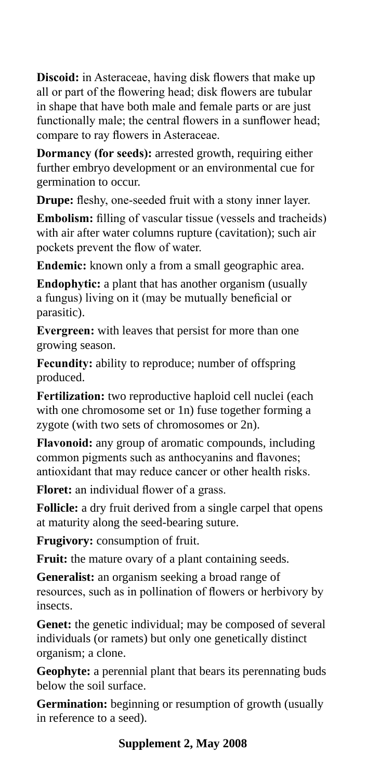**Discoid:** in Asteraceae, having disk flowers that make up all or part of the flowering head; disk flowers are tubular in shape that have both male and female parts or are just functionally male; the central flowers in a sunflower head; compare to ray flowers in Asteraceae.

**Dormancy (for seeds):** arrested growth, requiring either further embryo development or an environmental cue for germination to occur.

**Drupe:** fleshy, one-seeded fruit with a stony inner layer.

**Embolism:** filling of vascular tissue (vessels and tracheids) with air after water columns rupture (cavitation); such air pockets prevent the flow of water.

**Endemic:** known only a from a small geographic area.

**Endophytic:** a plant that has another organism (usually a fungus) living on it (may be mutually beneficial or parasitic).

**Evergreen:** with leaves that persist for more than one growing season.

**Fecundity:** ability to reproduce; number of offspring produced.

**Fertilization:** two reproductive haploid cell nuclei (each with one chromosome set or 1n) fuse together forming a zygote (with two sets of chromosomes or 2n).

**Flavonoid:** any group of aromatic compounds, including common pigments such as anthocyanins and flavones; antioxidant that may reduce cancer or other health risks.

**Floret:** an individual flower of a grass.

**Follicle:** a dry fruit derived from a single carpel that opens at maturity along the seed-bearing suture.

**Frugivory:** consumption of fruit.

Fruit: the mature ovary of a plant containing seeds.

**Generalist:** an organism seeking a broad range of resources, such as in pollination of flowers or herbivory by insects.

**Genet:** the genetic individual; may be composed of several individuals (or ramets) but only one genetically distinct organism; a clone.

**Geophyte:** a perennial plant that bears its perennating buds below the soil surface.

**Germination:** beginning or resumption of growth (usually in reference to a seed).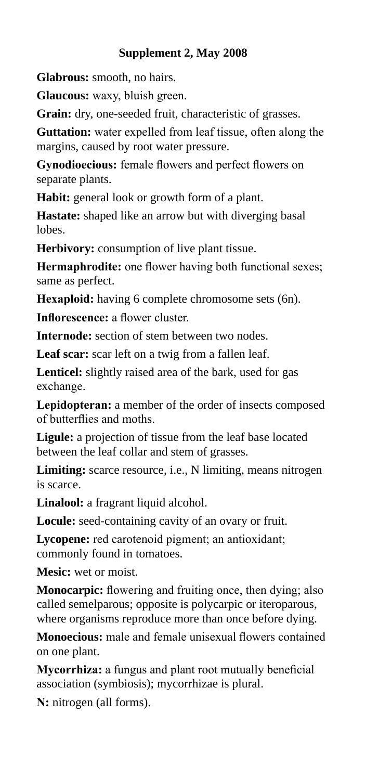#### **Supplement 2, May 2008**

**Glabrous:** smooth, no hairs.

**Glaucous:** waxy, bluish green.

**Grain:** dry, one-seeded fruit, characteristic of grasses.

**Guttation:** water expelled from leaf tissue, often along the margins, caused by root water pressure.

**Gynodioecious:** female flowers and perfect flowers on separate plants.

**Habit:** general look or growth form of a plant.

**Hastate:** shaped like an arrow but with diverging basal lobes.

**Herbivory:** consumption of live plant tissue.

**Hermaphrodite:** one flower having both functional sexes; same as perfect.

**Hexaploid:** having 6 complete chromosome sets (6n).

**Inflorescence:** a flower cluster.

**Internode:** section of stem between two nodes.

Leaf scar: scar left on a twig from a fallen leaf.

**Lenticel:** slightly raised area of the bark, used for gas exchange.

**Lepidopteran:** a member of the order of insects composed of butterflies and moths.

**Ligule:** a projection of tissue from the leaf base located between the leaf collar and stem of grasses.

**Limiting:** scarce resource, i.e., N limiting, means nitrogen is scarce.

**Linalool:** a fragrant liquid alcohol.

**Locule:** seed-containing cavity of an ovary or fruit.

**Lycopene:** red carotenoid pigment; an antioxidant; commonly found in tomatoes.

**Mesic:** wet or moist.

**Monocarpic:** flowering and fruiting once, then dying; also called semelparous; opposite is polycarpic or iteroparous, where organisms reproduce more than once before dying.

**Monoecious:** male and female unisexual flowers contained on one plant.

**Mycorrhiza:** a fungus and plant root mutually beneficial association (symbiosis); mycorrhizae is plural.

**N:** nitrogen (all forms).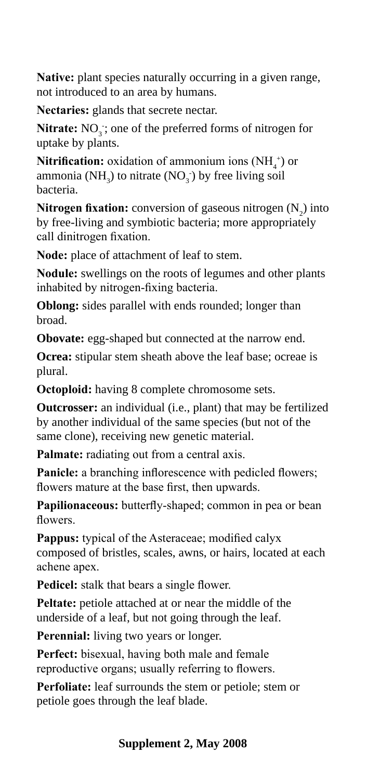**Native:** plant species naturally occurring in a given range, not introduced to an area by humans.

**Nectaries:** glands that secrete nectar.

Nitrate: NO<sub>3</sub>; one of the preferred forms of nitrogen for uptake by plants.

**Nitrification:** oxidation of ammonium ions  $(NH_4^+)$  or ammonia (NH<sub>3</sub>) to nitrate (NO<sub>3</sub><sup>-</sup>) by free living soil bacteria.

**Nitrogen fixation:** conversion of gaseous nitrogen  $(N_2)$  into by free-living and symbiotic bacteria; more appropriately call dinitrogen fixation.

**Node:** place of attachment of leaf to stem.

**Nodule:** swellings on the roots of legumes and other plants inhabited by nitrogen-fixing bacteria.

**Oblong:** sides parallel with ends rounded; longer than broad.

**Obovate:** egg-shaped but connected at the narrow end.

**Ocrea:** stipular stem sheath above the leaf base; ocreae is plural.

**Octoploid:** having 8 complete chromosome sets.

**Outcrosser:** an individual (i.e., plant) that may be fertilized by another individual of the same species (but not of the same clone), receiving new genetic material.

**Palmate:** radiating out from a central axis.

Panicle: a branching inflorescence with pedicled flowers; flowers mature at the base first, then upwards.

**Papilionaceous:** butterfly-shaped; common in pea or bean flowers.

**Pappus:** typical of the Asteraceae; modified calyx composed of bristles, scales, awns, or hairs, located at each achene apex.

**Pedicel:** stalk that bears a single flower.

**Peltate:** petiole attached at or near the middle of the underside of a leaf, but not going through the leaf.

**Perennial:** living two years or longer.

**Perfect:** bisexual, having both male and female reproductive organs; usually referring to flowers.

**Perfoliate:** leaf surrounds the stem or petiole; stem or petiole goes through the leaf blade.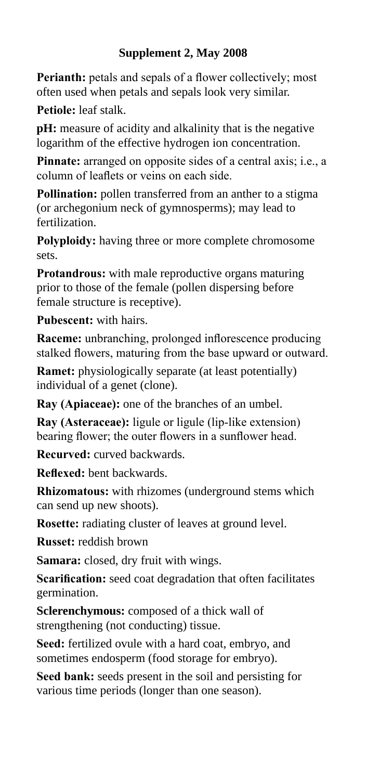#### **Supplement 2, May 2008**

**Perianth:** petals and sepals of a flower collectively; most often used when petals and sepals look very similar.

**Petiole:** leaf stalk.

**pH:** measure of acidity and alkalinity that is the negative logarithm of the effective hydrogen ion concentration.

**Pinnate:** arranged on opposite sides of a central axis; i.e., a column of leaflets or veins on each side.

**Pollination:** pollen transferred from an anther to a stigma (or archegonium neck of gymnosperms); may lead to fertilization.

**Polyploidy:** having three or more complete chromosome sets.

**Protandrous:** with male reproductive organs maturing prior to those of the female (pollen dispersing before female structure is receptive).

**Pubescent:** with hairs.

**Raceme:** unbranching, prolonged inflorescence producing stalked flowers, maturing from the base upward or outward.

**Ramet:** physiologically separate (at least potentially) individual of a genet (clone).

**Ray (Apiaceae):** one of the branches of an umbel.

**Ray (Asteraceae):** ligule or ligule (lip-like extension) bearing flower; the outer flowers in a sunflower head.

**Recurved:** curved backwards.

**Reflexed:** bent backwards.

**Rhizomatous:** with rhizomes (underground stems which can send up new shoots).

**Rosette:** radiating cluster of leaves at ground level.

**Russet:** reddish brown

**Samara:** closed, dry fruit with wings.

**Scarification:** seed coat degradation that often facilitates germination.

**Sclerenchymous:** composed of a thick wall of strengthening (not conducting) tissue.

**Seed:** fertilized ovule with a hard coat, embryo, and sometimes endosperm (food storage for embryo).

**Seed bank:** seeds present in the soil and persisting for various time periods (longer than one season).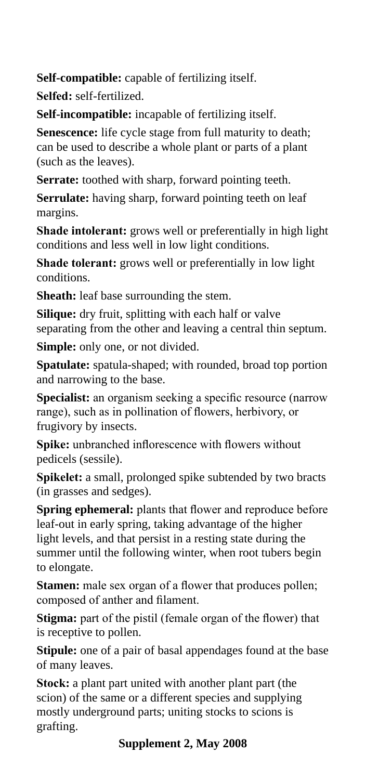**Self-compatible:** capable of fertilizing itself.

**Selfed:** self-fertilized.

**Self-incompatible:** incapable of fertilizing itself.

**Senescence:** life cycle stage from full maturity to death; can be used to describe a whole plant or parts of a plant (such as the leaves).

**Serrate:** toothed with sharp, forward pointing teeth.

**Serrulate:** having sharp, forward pointing teeth on leaf margins.

**Shade intolerant:** grows well or preferentially in high light conditions and less well in low light conditions.

**Shade tolerant:** grows well or preferentially in low light conditions.

**Sheath:** leaf base surrounding the stem.

**Silique:** dry fruit, splitting with each half or valve separating from the other and leaving a central thin septum.

**Simple:** only one, or not divided.

**Spatulate:** spatula-shaped; with rounded, broad top portion and narrowing to the base.

**Specialist:** an organism seeking a specific resource (narrow range), such as in pollination of flowers, herbivory, or frugivory by insects.

**Spike:** unbranched inflorescence with flowers without pedicels (sessile).

**Spikelet:** a small, prolonged spike subtended by two bracts (in grasses and sedges).

**Spring ephemeral:** plants that flower and reproduce before leaf-out in early spring, taking advantage of the higher light levels, and that persist in a resting state during the summer until the following winter, when root tubers begin to elongate.

**Stamen:** male sex organ of a flower that produces pollen; composed of anther and filament.

**Stigma:** part of the pistil (female organ of the flower) that is receptive to pollen.

**Stipule:** one of a pair of basal appendages found at the base of many leaves.

**Stock:** a plant part united with another plant part (the scion) of the same or a different species and supplying mostly underground parts; uniting stocks to scions is grafting.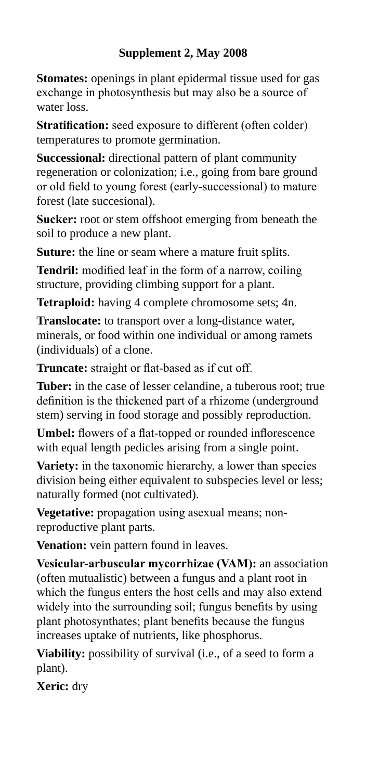#### **Supplement 2, May 2008**

**Stomates:** openings in plant epidermal tissue used for gas exchange in photosynthesis but may also be a source of water loss.

**Stratification:** seed exposure to different (often colder) temperatures to promote germination.

**Successional:** directional pattern of plant community regeneration or colonization; i.e., going from bare ground or old field to young forest (early-successional) to mature forest (late succesional).

**Sucker:** root or stem offshoot emerging from beneath the soil to produce a new plant.

Suture: the line or seam where a mature fruit splits.

**Tendril:** modified leaf in the form of a narrow, coiling structure, providing climbing support for a plant.

**Tetraploid:** having 4 complete chromosome sets; 4n.

**Translocate:** to transport over a long-distance water, minerals, or food within one individual or among ramets (individuals) of a clone.

**Truncate:** straight or flat-based as if cut off.

**Tuber:** in the case of lesser celandine, a tuberous root; true definition is the thickened part of a rhizome (underground stem) serving in food storage and possibly reproduction.

**Umbel:** flowers of a flat-topped or rounded inflorescence with equal length pedicles arising from a single point.

**Variety:** in the taxonomic hierarchy, a lower than species division being either equivalent to subspecies level or less; naturally formed (not cultivated).

**Vegetative:** propagation using asexual means; nonreproductive plant parts.

**Venation:** vein pattern found in leaves.

**Vesicular-arbuscular mycorrhizae (VAM):** an association (often mutualistic) between a fungus and a plant root in which the fungus enters the host cells and may also extend widely into the surrounding soil; fungus benefits by using plant photosynthates; plant benefits because the fungus increases uptake of nutrients, like phosphorus.

**Viability:** possibility of survival (i.e., of a seed to form a plant).

**Xeric:** dry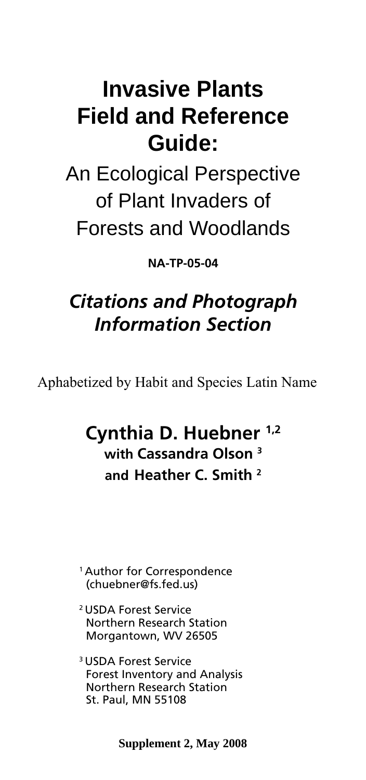## **Invasive Plants Field and Reference Guide:**

An Ecological Perspective of Plant Invaders of Forests and Woodlands

**NA-TP-05-04** 

## *Citations and Photograph Information Section*

Aphabetized by Habit and Species Latin Name

## **Cynthia D. Huebner 1,2 with Cassandra Olson 3 and Heather C. Smith 2**

1 Author for Correspondence (chuebner@fs.fed.us)

- 2 USDA Forest Service Northern Research Station Morgantown, WV 26505
- 3 USDA Forest Service Forest Inventory and Analysis Northern Research Station St. Paul, MN 55108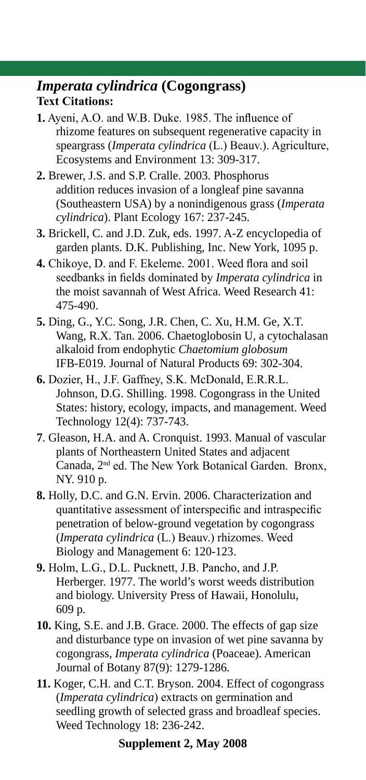#### *Imperata cylindrica* **(Cogongrass) Text Citations:**

- **1.** Ayeni, A.O. and W.B. Duke. 1985. The influence of rhizome features on subsequent regenerative capacity in speargrass (*Imperata cylindrica* (L.) Beauv.). Agriculture, Ecosystems and Environment 13: 309-317.
- **2.** Brewer, J.S. and S.P. Cralle. 2003. Phosphorus addition reduces invasion of a longleaf pine savanna (Southeastern USA) by a nonindigenous grass (*Imperata cylindrica*). Plant Ecology 167: 237-245.
- **3.** Brickell, C. and J.D. Zuk, eds. 1997. A-Z encyclopedia of garden plants. D.K. Publishing, Inc. New York, 1095 p.
- **4.** Chikoye, D. and F. Ekeleme. 2001. Weed flora and soil seedbanks in fields dominated by *Imperata cylindrica* in the moist savannah of West Africa. Weed Research 41: 475-490.
- **5.** Ding, G., Y.C. Song, J.R. Chen, C. Xu, H.M. Ge, X.T. Wang, R.X. Tan. 2006. Chaetoglobosin U, a cytochalasan alkaloid from endophytic *Chaetomium globosum*  IFB-E019. Journal of Natural Products 69: 302-304.
- **6.** Dozier, H., J.F. Gaffney, S.K. McDonald, E.R.R.L. Johnson, D.G. Shilling. 1998. Cogongrass in the United States: history, ecology, impacts, and management. Weed Technology 12(4): 737-743.
- **7**. Gleason, H.A. and A. Cronquist. 1993. Manual of vascular plants of Northeastern United States and adjacent Canada, 2nd ed. The New York Botanical Garden. Bronx, NY. 910 p.
- **8.** Holly, D.C. and G.N. Ervin. 2006. Characterization and quantitative assessment of interspecific and intraspecific penetration of below-ground vegetation by cogongrass (*Imperata cylindrica* (L.) Beauv.) rhizomes. Weed Biology and Management 6: 120-123.
- **9.** Holm, L.G., D.L. Pucknett, J.B. Pancho, and J.P. Herberger. 1977. The world's worst weeds distribution and biology. University Press of Hawaii, Honolulu, 609 p.
- **10.** King, S.E. and J.B. Grace. 2000. The effects of gap size and disturbance type on invasion of wet pine savanna by cogongrass, *Imperata cylindrica* (Poaceae). American Journal of Botany 87(9): 1279-1286.
- **11.** Koger, C.H. and C.T. Bryson. 2004. Effect of cogongrass (*Imperata cylindrica*) extracts on germination and seedling growth of selected grass and broadleaf species. Weed Technology 18: 236-242.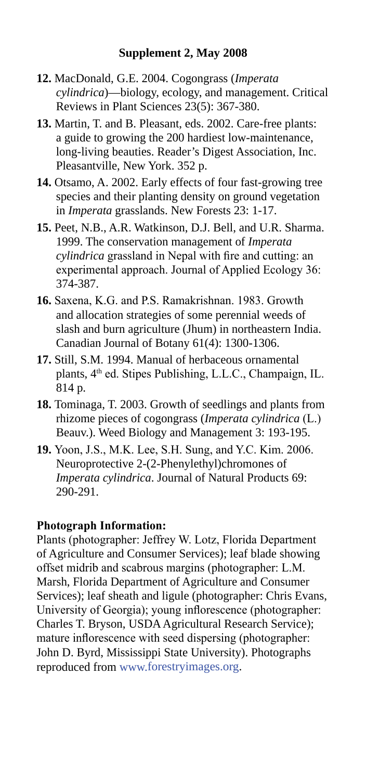- **12.** MacDonald, G.E. 2004. Cogongrass (*Imperata cylindrica*)—biology, ecology, and management. Critical Reviews in Plant Sciences 23(5): 367-380.
- **13.** Martin, T. and B. Pleasant, eds. 2002. Care-free plants: a guide to growing the 200 hardiest low-maintenance, long-living beauties. Reader's Digest Association, Inc. Pleasantville, New York. 352 p.
- **14.** Otsamo, A. 2002. Early effects of four fast-growing tree species and their planting density on ground vegetation in *Imperata* grasslands. New Forests 23: 1-17.
- **15.** Peet, N.B., A.R. Watkinson, D.J. Bell, and U.R. Sharma. 1999. The conservation management of *Imperata cylindrica* grassland in Nepal with fire and cutting: an experimental approach. Journal of Applied Ecology 36: 374-387.
- **16.** Saxena, K.G. and P.S. Ramakrishnan. 1983. Growth and allocation strategies of some perennial weeds of slash and burn agriculture (Jhum) in northeastern India. Canadian Journal of Botany 61(4): 1300-1306.
- **17.** Still, S.M. 1994. Manual of herbaceous ornamental plants, 4<sup>th</sup> ed. Stipes Publishing, L.L.C., Champaign, IL. 814 p.
- **18.** Tominaga, T. 2003. Growth of seedlings and plants from rhizome pieces of cogongrass (*Imperata cylindrica* (L.) Beauv.). Weed Biology and Management 3: 193-195.
- **19.** Yoon, J.S., M.K. Lee, S.H. Sung, and Y.C. Kim. 2006. Neuroprotective 2-(2-Phenylethyl)chromones of *Imperata cylindrica*. Journal of Natural Products 69: 290-291.

#### **Photograph Information:**

Plants (photographer: Jeffrey W. Lotz, Florida Department of Agriculture and Consumer Services); leaf blade showing offset midrib and scabrous margins (photographer: L.M. Marsh, Florida Department of Agriculture and Consumer Services); leaf sheath and ligule (photographer: Chris Evans, University of Georgia); young inflorescence (photographer: Charles T. Bryson, USDA Agricultural Research Service); mature inflorescence with seed dispersing (photographer: John D. Byrd, Mississippi State University). Photographs reproduced from www.forestryimages.org.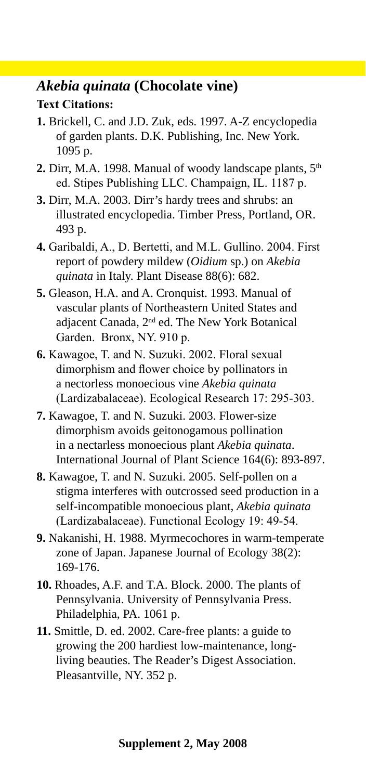#### *Akebia quinata* **(Chocolate vine) Text Citations:**

- **1.** Brickell, C. and J.D. Zuk, eds. 1997. A-Z encyclopedia of garden plants. D.K. Publishing, Inc. New York. 1095 p.
- **2.** Dirr, M.A. 1998. Manual of woody landscape plants,  $5<sup>th</sup>$ ed. Stipes Publishing LLC. Champaign, IL. 1187 p.
- **3.** Dirr, M.A. 2003. Dirr's hardy trees and shrubs: an illustrated encyclopedia. Timber Press, Portland, OR. 493 p.
- **4.** Garibaldi, A., D. Bertetti, and M.L. Gullino. 2004. First report of powdery mildew (*Oidium* sp.) on *Akebia quinata* in Italy. Plant Disease 88(6): 682.
- **5.** Gleason, H.A. and A. Cronquist. 1993. Manual of vascular plants of Northeastern United States and adjacent Canada, 2nd ed. The New York Botanical Garden. Bronx, NY. 910 p.
- **6.** Kawagoe, T. and N. Suzuki. 2002. Floral sexual dimorphism and flower choice by pollinators in a nectorless monoecious vine *Akebia quinata*  (Lardizabalaceae). Ecological Research 17: 295-303.
- **7.** Kawagoe, T. and N. Suzuki. 2003. Flower-size dimorphism avoids geitonogamous pollination in a nectarless monoecious plant *Akebia quinata*. International Journal of Plant Science 164(6): 893-897.
- **8.** Kawagoe, T. and N. Suzuki. 2005. Self-pollen on a stigma interferes with outcrossed seed production in a self-incompatible monoecious plant, *Akebia quinata*  (Lardizabalaceae). Functional Ecology 19: 49-54.
- **9.** Nakanishi, H. 1988. Myrmecochores in warm-temperate zone of Japan. Japanese Journal of Ecology 38(2): 169-176.
- **10.** Rhoades, A.F. and T.A. Block. 2000. The plants of Pennsylvania. University of Pennsylvania Press. Philadelphia, PA. 1061 p.
- **11.** Smittle, D. ed. 2002. Care-free plants: a guide to growing the 200 hardiest low-maintenance, longliving beauties. The Reader's Digest Association. Pleasantville, NY. 352 p.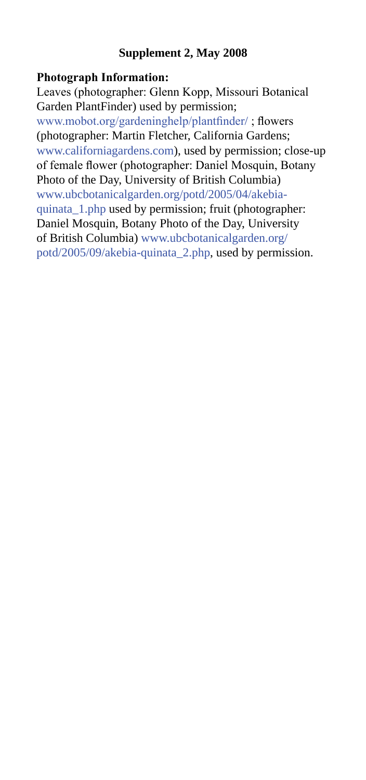#### **Supplement 2, May 2008**

#### **Photograph Information:**

Leaves (photographer: Glenn Kopp, Missouri Botanical Garden PlantFinder) used by permission; www.mobot.org/gardeninghelp/plantfinder/ ; flowers (photographer: Martin Fletcher, California Gardens; www.californiagardens.com), used by permission; close-up of female flower (photographer: Daniel Mosquin, Botany Photo of the Day, University of British Columbia) www.ubcbotanicalgarden.org/potd/2005/04/akebiaquinata\_1.php used by permission; fruit (photographer: Daniel Mosquin, Botany Photo of the Day, University of British Columbia) www.ubcbotanicalgarden.org/ potd/2005/09/akebia-quinata\_2.php, used by permission.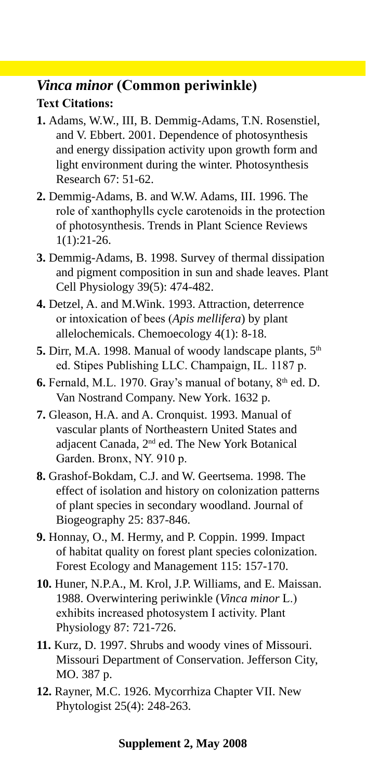#### *Vinca minor* **(Common periwinkle) Text Citations:**

- **1.** Adams, W.W., III, B. Demmig-Adams, T.N. Rosenstiel, and V. Ebbert. 2001. Dependence of photosynthesis and energy dissipation activity upon growth form and light environment during the winter. Photosynthesis Research 67: 51-62.
- **2.** Demmig-Adams, B. and W.W. Adams, III. 1996. The role of xanthophylls cycle carotenoids in the protection of photosynthesis. Trends in Plant Science Reviews 1(1):21-26.
- **3.** Demmig-Adams, B. 1998. Survey of thermal dissipation and pigment composition in sun and shade leaves. Plant Cell Physiology 39(5): 474-482.
- **4.** Detzel, A. and M.Wink. 1993. Attraction, deterrence or intoxication of bees (*Apis mellifera*) by plant allelochemicals. Chemoecology 4(1): 8-18.
- **5.** Dirr, M.A. 1998. Manual of woody landscape plants,  $5<sup>th</sup>$ ed. Stipes Publishing LLC. Champaign, IL. 1187 p.
- **6.** Fernald, M.L. 1970. Gray's manual of botany, 8<sup>th</sup> ed. D. Van Nostrand Company. New York. 1632 p.
- **7.** Gleason, H.A. and A. Cronquist. 1993. Manual of vascular plants of Northeastern United States and adjacent Canada, 2nd ed. The New York Botanical Garden. Bronx, NY. 910 p.
- **8.** Grashof-Bokdam, C.J. and W. Geertsema. 1998. The effect of isolation and history on colonization patterns of plant species in secondary woodland. Journal of Biogeography 25: 837-846.
- **9.** Honnay, O., M. Hermy, and P. Coppin. 1999. Impact of habitat quality on forest plant species colonization. Forest Ecology and Management 115: 157-170.
- **10.** Huner, N.P.A., M. Krol, J.P. Williams, and E. Maissan. 1988. Overwintering periwinkle (*Vinca minor* L.) exhibits increased photosystem I activity. Plant Physiology 87: 721-726.
- **11.** Kurz, D. 1997. Shrubs and woody vines of Missouri. Missouri Department of Conservation. Jefferson City, MO. 387 p.
- **12.** Rayner, M.C. 1926. Mycorrhiza Chapter VII. New Phytologist 25(4): 248-263.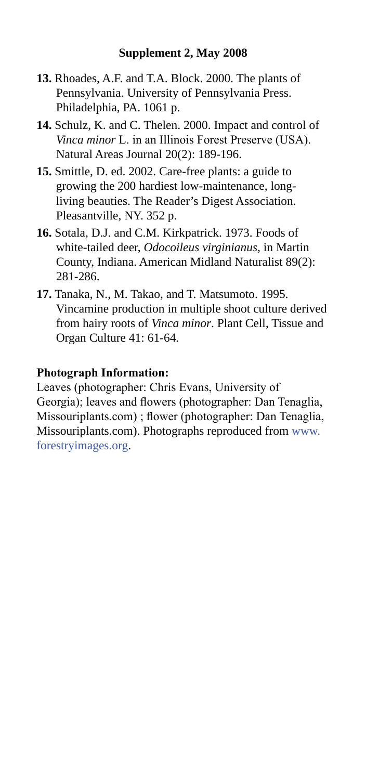- **13.** Rhoades, A.F. and T.A. Block. 2000. The plants of Pennsylvania. University of Pennsylvania Press. Philadelphia, PA. 1061 p.
- **14.** Schulz, K. and C. Thelen. 2000. Impact and control of *Vinca minor* L. in an Illinois Forest Preserve (USA). Natural Areas Journal 20(2): 189-196.
- **15.** Smittle, D. ed. 2002. Care-free plants: a guide to growing the 200 hardiest low-maintenance, longliving beauties. The Reader's Digest Association. Pleasantville, NY. 352 p.
- **16.** Sotala, D.J. and C.M. Kirkpatrick. 1973. Foods of white-tailed deer, *Odocoileus virginianus*, in Martin County, Indiana. American Midland Naturalist 89(2): 281-286.
- **17.** Tanaka, N., M. Takao, and T. Matsumoto. 1995. Vincamine production in multiple shoot culture derived from hairy roots of *Vinca minor*. Plant Cell, Tissue and Organ Culture 41: 61-64.

#### **Photograph Information:**

Leaves (photographer: Chris Evans, University of Georgia); leaves and flowers (photographer: Dan Tenaglia, Missouriplants.com) ; flower (photographer: Dan Tenaglia, Missouriplants.com). Photographs reproduced from www. forestryimages.org.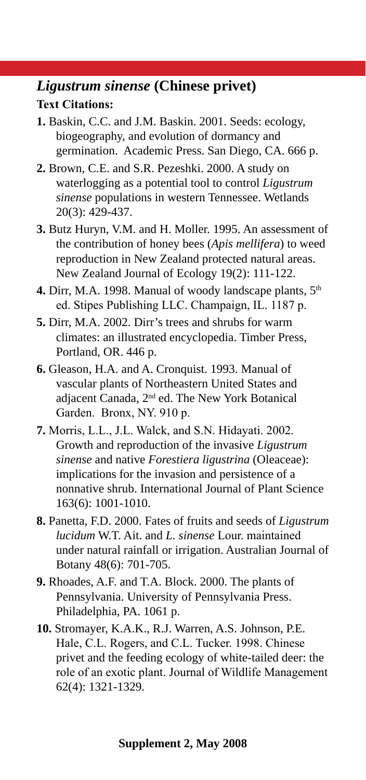#### *Ligustrum sinense* **(Chinese privet) Text Citations:**

- **1.** Baskin, C.C. and J.M. Baskin. 2001. Seeds: ecology, biogeography, and evolution of dormancy and germination. Academic Press. San Diego, CA. 666 p.
- **2.** Brown, C.E. and S.R. Pezeshki. 2000. A study on waterlogging as a potential tool to control *Ligustrum sinense* populations in western Tennessee. Wetlands 20(3): 429-437.
- **3.** Butz Huryn, V.M. and H. Moller. 1995. An assessment of the contribution of honey bees (*Apis mellifera*) to weed reproduction in New Zealand protected natural areas. New Zealand Journal of Ecology 19(2): 111-122.
- 4. Dirr, M.A. 1998. Manual of woody landscape plants, 5<sup>th</sup> ed. Stipes Publishing LLC. Champaign, IL. 1187 p.
- **5.** Dirr, M.A. 2002. Dirr's trees and shrubs for warm climates: an illustrated encyclopedia. Timber Press, Portland, OR. 446 p.
- **6.** Gleason, H.A. and A. Cronquist. 1993. Manual of vascular plants of Northeastern United States and adjacent Canada, 2nd ed. The New York Botanical Garden. Bronx, NY. 910 p.
- **7.** Morris, L.L., J.L. Walck, and S.N. Hidayati. 2002. Growth and reproduction of the invasive *Ligustrum sinense* and native *Forestiera ligustrina* (Oleaceae): implications for the invasion and persistence of a nonnative shrub. International Journal of Plant Science 163(6): 1001-1010.
- **8.** Panetta, F.D. 2000. Fates of fruits and seeds of *Ligustrum lucidum* W.T. Ait. and *L. sinense* Lour. maintained under natural rainfall or irrigation. Australian Journal of Botany 48(6): 701-705.
- **9.** Rhoades, A.F. and T.A. Block. 2000. The plants of Pennsylvania. University of Pennsylvania Press. Philadelphia, PA. 1061 p.
- **10.** Stromayer, K.A.K., R.J. Warren, A.S. Johnson, P.E. Hale, C.L. Rogers, and C.L. Tucker. 1998. Chinese privet and the feeding ecology of white-tailed deer: the role of an exotic plant. Journal of Wildlife Management 62(4): 1321-1329.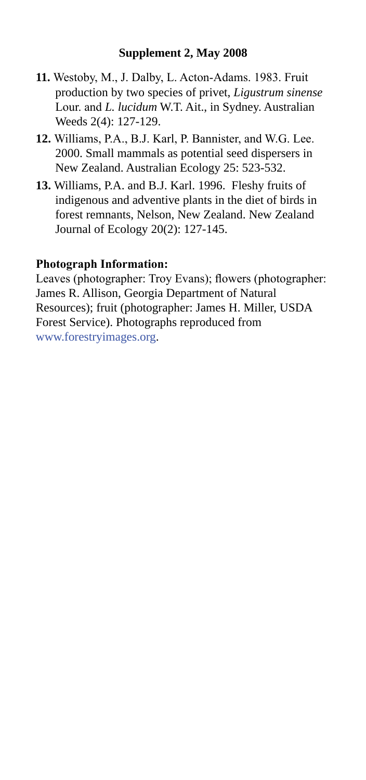- **11.** Westoby, M., J. Dalby, L. Acton-Adams. 1983. Fruit production by two species of privet, *Ligustrum sinense*  Lour. and *L. lucidum* W.T. Ait., in Sydney. Australian Weeds 2(4): 127-129.
- **12.** Williams, P.A., B.J. Karl, P. Bannister, and W.G. Lee. 2000. Small mammals as potential seed dispersers in New Zealand. Australian Ecology 25: 523-532.
- **13.** Williams, P.A. and B.J. Karl. 1996. Fleshy fruits of indigenous and adventive plants in the diet of birds in forest remnants, Nelson, New Zealand. New Zealand Journal of Ecology 20(2): 127-145.

#### **Photograph Information:**

Leaves (photographer: Troy Evans); flowers (photographer: James R. Allison, Georgia Department of Natural Resources); fruit (photographer: James H. Miller, USDA Forest Service). Photographs reproduced from www.forestryimages.org.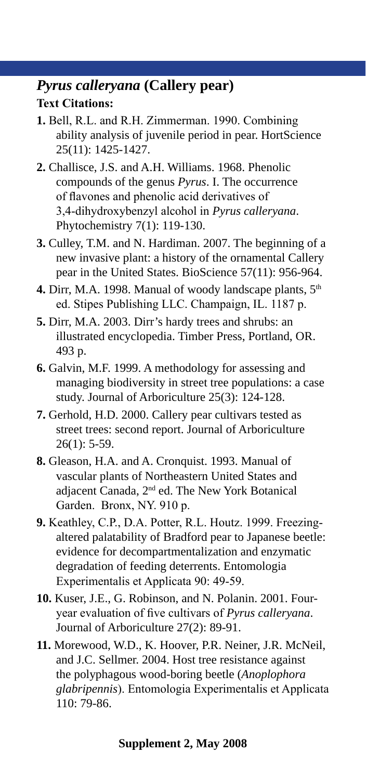#### *Pyrus calleryana* **(Callery pear) Text Citations:**

- **1.** Bell, R.L. and R.H. Zimmerman. 1990. Combining ability analysis of juvenile period in pear. HortScience 25(11): 1425-1427.
- **2.** Challisce, J.S. and A.H. Williams. 1968. Phenolic compounds of the genus *Pyrus*. I. The occurrence of flavones and phenolic acid derivatives of 3,4-dihydroxybenzyl alcohol in *Pyrus calleryana*. Phytochemistry 7(1): 119-130.
- **3.** Culley, T.M. and N. Hardiman. 2007. The beginning of a new invasive plant: a history of the ornamental Callery pear in the United States. BioScience 57(11): 956-964.
- 4. Dirr, M.A. 1998. Manual of woody landscape plants, 5<sup>th</sup> ed. Stipes Publishing LLC. Champaign, IL. 1187 p.
- **5.** Dirr, M.A. 2003. Dirr's hardy trees and shrubs: an illustrated encyclopedia. Timber Press, Portland, OR. 493 p.
- **6.** Galvin, M.F. 1999. A methodology for assessing and managing biodiversity in street tree populations: a case study. Journal of Arboriculture 25(3): 124-128.
- **7.** Gerhold, H.D. 2000. Callery pear cultivars tested as street trees: second report. Journal of Arboriculture  $26(1): 5-59.$
- **8.** Gleason, H.A. and A. Cronquist. 1993. Manual of vascular plants of Northeastern United States and adjacent Canada, 2nd ed. The New York Botanical Garden. Bronx, NY. 910 p.
- **9.** Keathley, C.P., D.A. Potter, R.L. Houtz. 1999. Freezingaltered palatability of Bradford pear to Japanese beetle: evidence for decompartmentalization and enzymatic degradation of feeding deterrents. Entomologia Experimentalis et Applicata 90: 49-59.
- **10.** Kuser, J.E., G. Robinson, and N. Polanin. 2001. Fouryear evaluation of five cultivars of *Pyrus calleryana*. Journal of Arboriculture 27(2): 89-91.
- **11.** Morewood, W.D., K. Hoover, P.R. Neiner, J.R. McNeil, and J.C. Sellmer. 2004. Host tree resistance against the polyphagous wood-boring beetle (*Anoplophora glabripennis*). Entomologia Experimentalis et Applicata 110: 79-86.